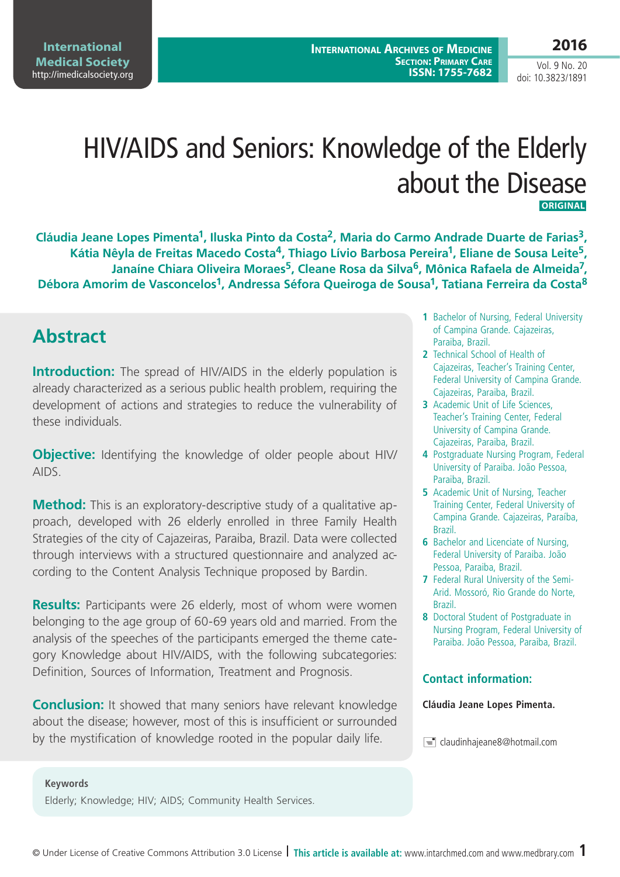Vol. 9 No. 20 doi: 10.3823/1891

# HIV/AIDS and Seniors: Knowledge of the Elderly about the Disease  **Original**

**Cláudia Jeane Lopes Pimenta1, Iluska Pinto da Costa2, Maria do Carmo Andrade Duarte de Farias3, Kátia Nêyla de Freitas Macedo Costa4, Thiago Lívio Barbosa Pereira1, Eliane de Sousa Leite5,**  Janaíne Chiara Oliveira Moraes<sup>5</sup>, Cleane Rosa da Silva<sup>6</sup>, Mônica Rafaela de Almeida<sup>7</sup>, Débora Amorim de Vasconcelos<sup>1</sup>, Andressa Séfora Queiroga de Sousa<sup>1</sup>, Tatiana Ferreira da Costa<sup>8</sup>

### **Abstract**

**Introduction:** The spread of HIV/AIDS in the elderly population is already characterized as a serious public health problem, requiring the development of actions and strategies to reduce the vulnerability of these individuals.

**Objective:** Identifying the knowledge of older people about HIV/ AIDS.

**Method:** This is an exploratory-descriptive study of a qualitative approach, developed with 26 elderly enrolled in three Family Health Strategies of the city of Cajazeiras, Paraiba, Brazil. Data were collected through interviews with a structured questionnaire and analyzed according to the Content Analysis Technique proposed by Bardin.

**Results:** Participants were 26 elderly, most of whom were women belonging to the age group of 60-69 years old and married. From the analysis of the speeches of the participants emerged the theme category Knowledge about HIV/AIDS, with the following subcategories: Definition, Sources of Information, Treatment and Prognosis.

**Conclusion:** It showed that many seniors have relevant knowledge about the disease; however, most of this is insufficient or surrounded by the mystification of knowledge rooted in the popular daily life.

- **1** Bachelor of Nursing, Federal University of Campina Grande. Cajazeiras, Paraiba, Brazil.
- **2** Technical School of Health of Cajazeiras, Teacher's Training Center, Federal University of Campina Grande. Cajazeiras, Paraiba, Brazil.
- **3** Academic Unit of Life Sciences, Teacher's Training Center, Federal University of Campina Grande. Cajazeiras, Paraiba, Brazil.
- **4** Postgraduate Nursing Program, Federal University of Paraiba. João Pessoa, Paraiba, Brazil.
- **5** Academic Unit of Nursing, Teacher Training Center, Federal University of Campina Grande. Cajazeiras, Paraíba, Brazil.
- **6** Bachelor and Licenciate of Nursing, Federal University of Paraiba. João Pessoa, Paraiba, Brazil.
- **7** Federal Rural University of the Semi-Arid. Mossoró, Rio Grande do Norte, Brazil.
- **8** Doctoral Student of Postgraduate in Nursing Program, Federal University of Paraiba. João Pessoa, Paraiba, Brazil.

#### **Contact information:**

#### **Cláudia Jeane Lopes Pimenta.**

 $\equiv$  claudinhajeane8@hotmail.com

#### **Keywords**

Elderly; Knowledge; HIV; AIDS; Community Health Services.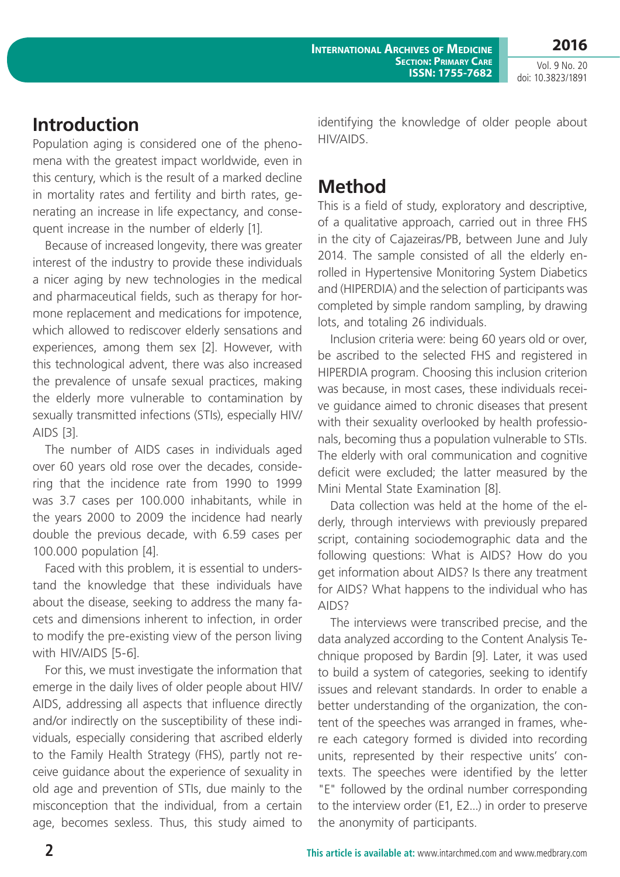**2016**

Vol. 9 No. 20 doi: 10.3823/1891

#### **Introduction**

Population aging is considered one of the phenomena with the greatest impact worldwide, even in this century, which is the result of a marked decline in mortality rates and fertility and birth rates, generating an increase in life expectancy, and consequent increase in the number of elderly [1].

Because of increased longevity, there was greater interest of the industry to provide these individuals a nicer aging by new technologies in the medical and pharmaceutical fields, such as therapy for hormone replacement and medications for impotence, which allowed to rediscover elderly sensations and experiences, among them sex [2]. However, with this technological advent, there was also increased the prevalence of unsafe sexual practices, making the elderly more vulnerable to contamination by sexually transmitted infections (STIs), especially HIV/ AIDS [3].

The number of AIDS cases in individuals aged over 60 years old rose over the decades, considering that the incidence rate from 1990 to 1999 was 3.7 cases per 100.000 inhabitants, while in the years 2000 to 2009 the incidence had nearly double the previous decade, with 6.59 cases per 100.000 population [4].

Faced with this problem, it is essential to understand the knowledge that these individuals have about the disease, seeking to address the many facets and dimensions inherent to infection, in order to modify the pre-existing view of the person living with HIV/AIDS [5-6].

For this, we must investigate the information that emerge in the daily lives of older people about HIV/ AIDS, addressing all aspects that influence directly and/or indirectly on the susceptibility of these individuals, especially considering that ascribed elderly to the Family Health Strategy (FHS), partly not receive guidance about the experience of sexuality in old age and prevention of STIs, due mainly to the misconception that the individual, from a certain age, becomes sexless. Thus, this study aimed to

identifying the knowledge of older people about HIV/AIDS.

### **Method**

This is a field of study, exploratory and descriptive, of a qualitative approach, carried out in three FHS in the city of Cajazeiras/PB, between June and July 2014. The sample consisted of all the elderly enrolled in Hypertensive Monitoring System Diabetics and (HIPERDIA) and the selection of participants was completed by simple random sampling, by drawing lots, and totaling 26 individuals.

Inclusion criteria were: being 60 years old or over, be ascribed to the selected FHS and registered in HIPERDIA program. Choosing this inclusion criterion was because, in most cases, these individuals receive guidance aimed to chronic diseases that present with their sexuality overlooked by health professionals, becoming thus a population vulnerable to STIs. The elderly with oral communication and cognitive deficit were excluded; the latter measured by the Mini Mental State Examination [8].

Data collection was held at the home of the elderly, through interviews with previously prepared script, containing sociodemographic data and the following questions: What is AIDS? How do you get information about AIDS? Is there any treatment for AIDS? What happens to the individual who has AIDS?

The interviews were transcribed precise, and the data analyzed according to the Content Analysis Technique proposed by Bardin [9]. Later, it was used to build a system of categories, seeking to identify issues and relevant standards. In order to enable a better understanding of the organization, the content of the speeches was arranged in frames, where each category formed is divided into recording units, represented by their respective units' contexts. The speeches were identified by the letter "E" followed by the ordinal number corresponding to the interview order (E1, E2...) in order to preserve the anonymity of participants.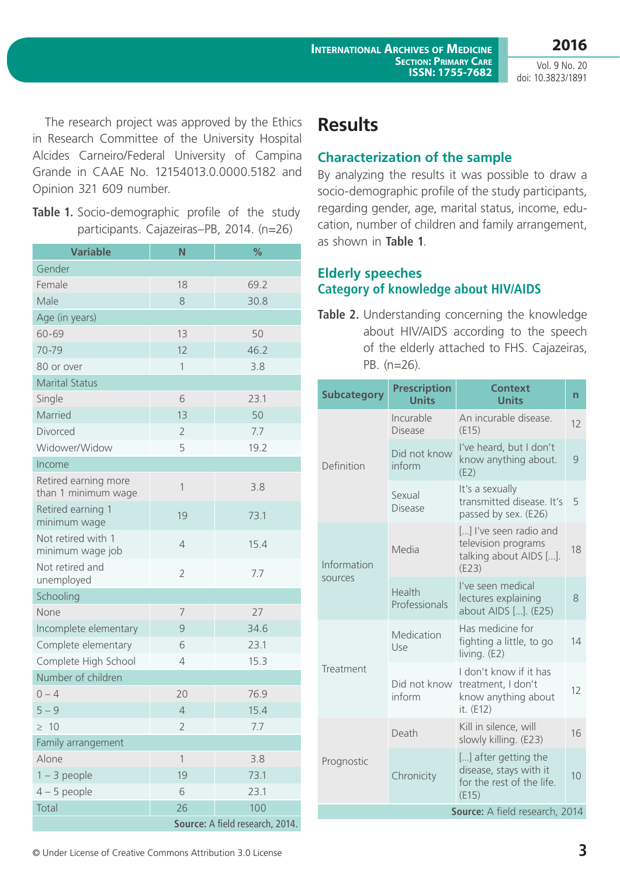**2016** Vol. 9 No. 20 doi: 10.3823/1891

The research project was approved by the Ethics in Research Committee of the University Hospital Alcides Carneiro/Federal University of Campina Grande in CAAE No. 12154013.0.0000.5182 and Opinion 321 609 number.

**Table 1.** Socio-demographic profile of the study participants. Cajazeiras–PB, 2014. (n=26)

| <b>Variable</b>                             | N                               | %    |  |
|---------------------------------------------|---------------------------------|------|--|
| Gender                                      |                                 |      |  |
| Female                                      | 18                              | 69.2 |  |
| Male                                        | 8                               | 30.8 |  |
| Age (in years)                              |                                 |      |  |
| 60-69                                       | 13                              | 50   |  |
| 70-79                                       | 12                              | 46.2 |  |
| 80 or over                                  | 1                               | 3.8  |  |
| <b>Marital Status</b>                       |                                 |      |  |
| Single                                      | 6                               | 23.1 |  |
| Married                                     | 13                              | 50   |  |
| Divorced                                    | $\overline{2}$                  | 7.7  |  |
| Widower/Widow                               | 5                               | 19.2 |  |
| Income                                      |                                 |      |  |
| Retired earning more<br>than 1 minimum wage | 1                               | 3.8  |  |
| Retired earning 1<br>minimum wage           | 19                              | 73.1 |  |
| Not retired with 1<br>minimum wage job      | $\overline{4}$                  | 15.4 |  |
| Not retired and<br>unemployed               | $\overline{2}$                  | 7.7  |  |
| Schooling                                   |                                 |      |  |
| None                                        | 7                               | 27   |  |
| Incomplete elementary                       | 9                               | 34.6 |  |
| Complete elementary                         | 6                               | 23.1 |  |
| Complete High School                        | 4                               | 15.3 |  |
| Number of children                          |                                 |      |  |
| $0 - 4$                                     | 20                              | 76.9 |  |
| $5 - 9$                                     | $\overline{4}$                  | 15.4 |  |
| $\geq 10$                                   | $\overline{2}$                  | 7.7  |  |
| Family arrangement                          |                                 |      |  |
| Alone                                       | $\mathbf{1}$                    | 3.8  |  |
| $1 - 3$ people                              | 19                              | 73.1 |  |
| $4-5$ people                                | 6                               | 23.1 |  |
| Total                                       | 26                              | 100  |  |
|                                             | Source: A field research, 2014. |      |  |

## **Results**

#### **Characterization of the sample**

By analyzing the results it was possible to draw a socio-demographic profile of the study participants, regarding gender, age, marital status, income, education, number of children and family arrangement, as shown in **Table 1**.

#### **Elderly speeches Category of knowledge about HIV/AIDS**

**Table 2.** Understanding concerning the knowledge about HIV/AIDS according to the speech of the elderly attached to FHS. Cajazeiras, PB. (n=26).

| <b>Subcategory</b>             | <b>Prescription</b><br><b>Units</b> | <b>Context</b><br><b>Units</b>                                                       | n             |  |  |
|--------------------------------|-------------------------------------|--------------------------------------------------------------------------------------|---------------|--|--|
| Definition                     | Incurable<br><b>Disease</b>         | An incurable disease.<br>(E15)                                                       | 12            |  |  |
|                                | Did not know<br>inform              | I've heard, but I don't<br>know anything about.<br>(E2)                              | $\mathcal{Q}$ |  |  |
|                                | Sexual<br><b>Disease</b>            | It's a sexually<br>transmitted disease. It's<br>passed by sex. (E26)                 | 5             |  |  |
| Information<br>sources         | Media                               | [] I've seen radio and<br>television programs<br>talking about AIDS [].<br>(E23)     | 18            |  |  |
|                                | Health<br>Professionals             | I've seen medical<br>lectures explaining<br>about AIDS []. (E25)                     | 8             |  |  |
| Treatment                      | Medication<br>Use                   | Has medicine for<br>fighting a little, to go<br>living. $(E2)$                       | 14            |  |  |
|                                | Did not know<br>inform              | I don't know if it has<br>treatment, I don't<br>know anything about<br>it. (E12)     | 12            |  |  |
| Prognostic                     | Death                               | Kill in silence, will<br>slowly killing. (E23)                                       | 16            |  |  |
|                                | Chronicity                          | [] after getting the<br>disease, stays with it<br>for the rest of the life.<br>(E15) | 10            |  |  |
| Source: A field research, 2014 |                                     |                                                                                      |               |  |  |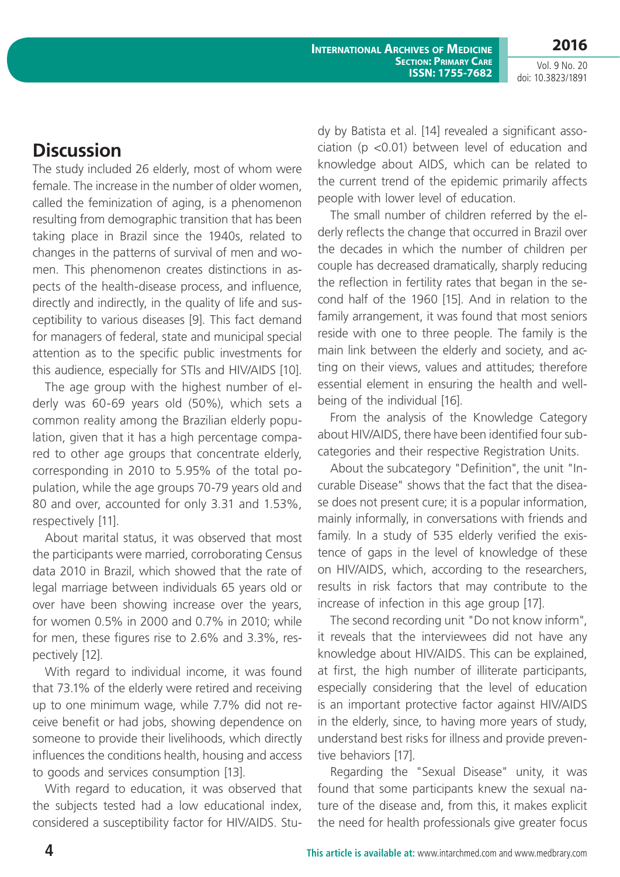**2016** Vol. 9 No. 20

doi: 10.3823/1891

## **Discussion**

The study included 26 elderly, most of whom were female. The increase in the number of older women, called the feminization of aging, is a phenomenon resulting from demographic transition that has been taking place in Brazil since the 1940s, related to changes in the patterns of survival of men and women. This phenomenon creates distinctions in aspects of the health-disease process, and influence, directly and indirectly, in the quality of life and susceptibility to various diseases [9]. This fact demand for managers of federal, state and municipal special attention as to the specific public investments for this audience, especially for STIs and HIV/AIDS [10].

The age group with the highest number of elderly was 60-69 years old (50%), which sets a common reality among the Brazilian elderly population, given that it has a high percentage compared to other age groups that concentrate elderly, corresponding in 2010 to 5.95% of the total population, while the age groups 70-79 years old and 80 and over, accounted for only 3.31 and 1.53%, respectively [11].

About marital status, it was observed that most the participants were married, corroborating Census data 2010 in Brazil, which showed that the rate of legal marriage between individuals 65 years old or over have been showing increase over the years, for women 0.5% in 2000 and 0.7% in 2010; while for men, these figures rise to 2.6% and 3.3%, respectively [12].

With regard to individual income, it was found that 73.1% of the elderly were retired and receiving up to one minimum wage, while 7.7% did not receive benefit or had jobs, showing dependence on someone to provide their livelihoods, which directly influences the conditions health, housing and access to goods and services consumption [13].

With regard to education, it was observed that the subjects tested had a low educational index, considered a susceptibility factor for HIV/AIDS. Study by Batista et al. [14] revealed a significant association (p <0.01) between level of education and knowledge about AIDS, which can be related to the current trend of the epidemic primarily affects people with lower level of education.

The small number of children referred by the elderly reflects the change that occurred in Brazil over the decades in which the number of children per couple has decreased dramatically, sharply reducing the reflection in fertility rates that began in the second half of the 1960 [15]. And in relation to the family arrangement, it was found that most seniors reside with one to three people. The family is the main link between the elderly and society, and acting on their views, values and attitudes; therefore essential element in ensuring the health and wellbeing of the individual [16].

From the analysis of the Knowledge Category about HIV/AIDS, there have been identified four subcategories and their respective Registration Units.

About the subcategory "Definition", the unit "Incurable Disease" shows that the fact that the disease does not present cure; it is a popular information, mainly informally, in conversations with friends and family. In a study of 535 elderly verified the existence of gaps in the level of knowledge of these on HIV/AIDS, which, according to the researchers, results in risk factors that may contribute to the increase of infection in this age group [17].

The second recording unit "Do not know inform", it reveals that the interviewees did not have any knowledge about HIV/AIDS. This can be explained, at first, the high number of illiterate participants, especially considering that the level of education is an important protective factor against HIV/AIDS in the elderly, since, to having more years of study, understand best risks for illness and provide preventive behaviors [17].

Regarding the "Sexual Disease" unity, it was found that some participants knew the sexual nature of the disease and, from this, it makes explicit the need for health professionals give greater focus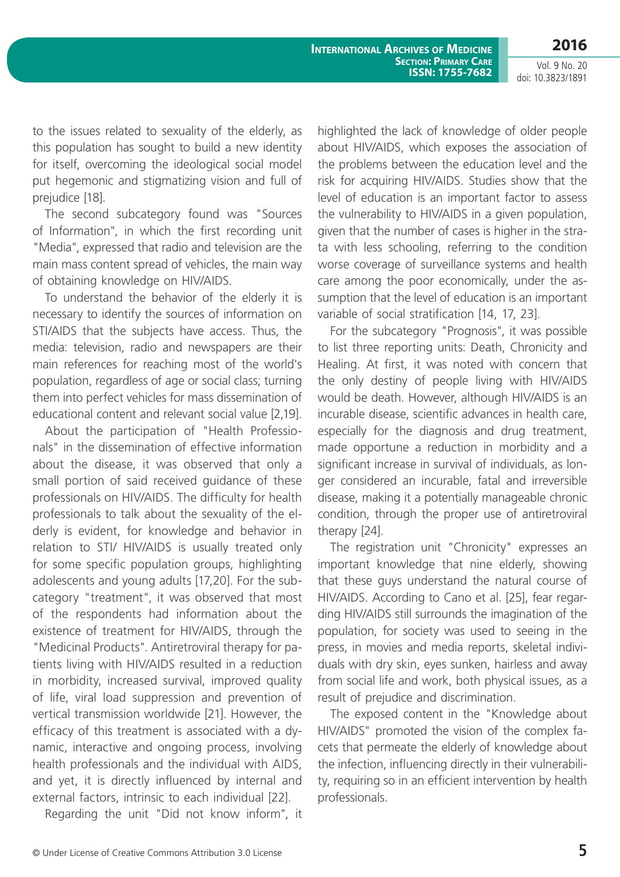**2016** Vol. 9 No. 20

doi: 10.3823/1891

to the issues related to sexuality of the elderly, as this population has sought to build a new identity for itself, overcoming the ideological social model put hegemonic and stigmatizing vision and full of prejudice [18].

The second subcategory found was "Sources of Information", in which the first recording unit "Media", expressed that radio and television are the main mass content spread of vehicles, the main way of obtaining knowledge on HIV/AIDS.

To understand the behavior of the elderly it is necessary to identify the sources of information on STI/AIDS that the subjects have access. Thus, the media: television, radio and newspapers are their main references for reaching most of the world's population, regardless of age or social class; turning them into perfect vehicles for mass dissemination of educational content and relevant social value [2,19].

About the participation of "Health Professionals" in the dissemination of effective information about the disease, it was observed that only a small portion of said received guidance of these professionals on HIV/AIDS. The difficulty for health professionals to talk about the sexuality of the elderly is evident, for knowledge and behavior in relation to STI/ HIV/AIDS is usually treated only for some specific population groups, highlighting adolescents and young adults [17,20]. For the subcategory "treatment", it was observed that most of the respondents had information about the existence of treatment for HIV/AIDS, through the "Medicinal Products". Antiretroviral therapy for patients living with HIV/AIDS resulted in a reduction in morbidity, increased survival, improved quality of life, viral load suppression and prevention of vertical transmission worldwide [21]. However, the efficacy of this treatment is associated with a dynamic, interactive and ongoing process, involving health professionals and the individual with AIDS, and yet, it is directly influenced by internal and external factors, intrinsic to each individual [22].

Regarding the unit "Did not know inform", it

highlighted the lack of knowledge of older people about HIV/AIDS, which exposes the association of the problems between the education level and the risk for acquiring HIV/AIDS. Studies show that the level of education is an important factor to assess the vulnerability to HIV/AIDS in a given population, given that the number of cases is higher in the strata with less schooling, referring to the condition worse coverage of surveillance systems and health care among the poor economically, under the assumption that the level of education is an important variable of social stratification [14, 17, 23].

For the subcategory "Prognosis", it was possible to list three reporting units: Death, Chronicity and Healing. At first, it was noted with concern that the only destiny of people living with HIV/AIDS would be death. However, although HIV/AIDS is an incurable disease, scientific advances in health care, especially for the diagnosis and drug treatment, made opportune a reduction in morbidity and a significant increase in survival of individuals, as longer considered an incurable, fatal and irreversible disease, making it a potentially manageable chronic condition, through the proper use of antiretroviral therapy [24].

The registration unit "Chronicity" expresses an important knowledge that nine elderly, showing that these guys understand the natural course of HIV/AIDS. According to Cano et al. [25], fear regarding HIV/AIDS still surrounds the imagination of the population, for society was used to seeing in the press, in movies and media reports, skeletal individuals with dry skin, eyes sunken, hairless and away from social life and work, both physical issues, as a result of prejudice and discrimination.

The exposed content in the "Knowledge about HIV/AIDS" promoted the vision of the complex facets that permeate the elderly of knowledge about the infection, influencing directly in their vulnerability, requiring so in an efficient intervention by health professionals.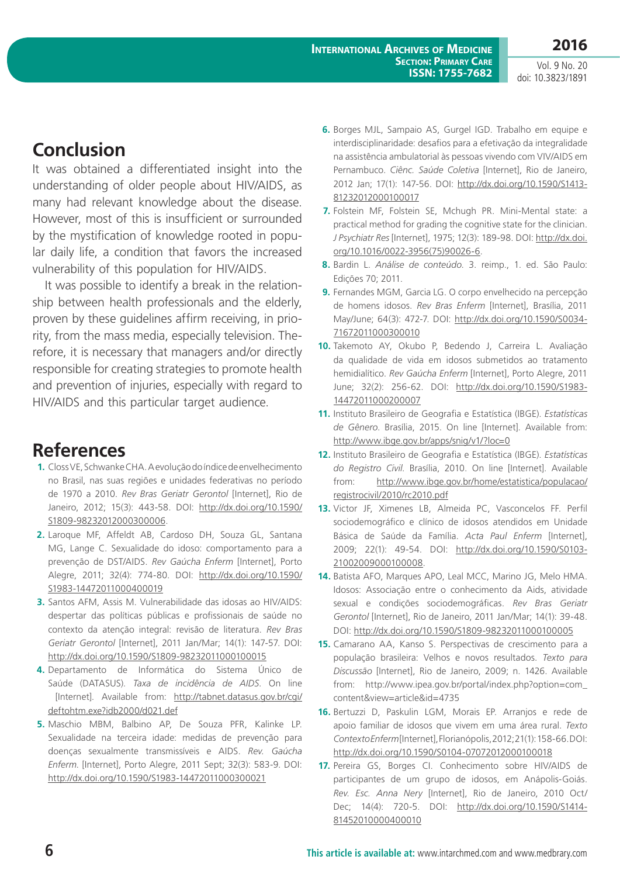Vol. 9 No. 20 doi: 10.3823/1891

## **Conclusion**

It was obtained a differentiated insight into the understanding of older people about HIV/AIDS, as many had relevant knowledge about the disease. However, most of this is insufficient or surrounded by the mystification of knowledge rooted in popular daily life, a condition that favors the increased vulnerability of this population for HIV/AIDS.

It was possible to identify a break in the relationship between health professionals and the elderly, proven by these guidelines affirm receiving, in priority, from the mass media, especially television. Therefore, it is necessary that managers and/or directly responsible for creating strategies to promote health and prevention of injuries, especially with regard to HIV/AIDS and this particular target audience.

### **References**

- **1.** Closs VE, Schwanke CHA. A evolução do índice de envelhecimento no Brasil, nas suas regiões e unidades federativas no período de 1970 a 2010. *Rev Bras Geriatr Gerontol* [Internet], Rio de Janeiro, 2012; 15(3): 443-58. DOI: [http://dx.doi.org/10.1590/](http://dx.doi.org/10.1590/S1809-98232012000300006) [S1809-98232012000300006](http://dx.doi.org/10.1590/S1809-98232012000300006).
- **2.** Laroque MF, Affeldt AB, Cardoso DH, Souza GL, Santana MG, Lange C. Sexualidade do idoso: comportamento para a prevenção de DST/AIDS. *Rev Gaúcha Enferm* [Internet], Porto Alegre, 2011; 32(4): 774-80. DOI: [http://dx.doi.org/10.1590/](http://dx.doi.org/10.1590/S1983-14472011000400019) [S1983-14472011000400019](http://dx.doi.org/10.1590/S1983-14472011000400019)
- **3.** Santos AFM, Assis M. Vulnerabilidade das idosas ao HIV/AIDS: despertar das políticas públicas e profissionais de saúde no contexto da atenção integral: revisão de literatura. *Rev Bras Geriatr Gerontol* [Internet], 2011 Jan/Mar; 14(1): 147-57. DOI: <http://dx.doi.org/10.1590/S1809-98232011000100015>
- **4.** Departamento de Informática do Sistema Único de Saúde (DATASUS). *Taxa de incidência de AIDS*. On line [Internet]. Available from: [http://tabnet.datasus.gov.br/cgi/](http://tabnet.datasus.gov.br/cgi/deftohtm.exe?idb2000/d021.def) [deftohtm.exe?idb2000/d021.def](http://tabnet.datasus.gov.br/cgi/deftohtm.exe?idb2000/d021.def)
- **5.** Maschio MBM, Balbino AP, De Souza PFR, Kalinke LP. Sexualidade na terceira idade: medidas de prevenção para doenças sexualmente transmissíveis e AIDS. *Rev. Gaúcha Enferm*. [Internet], Porto Alegre, 2011 Sept; 32(3): 583-9. DOI: <http://dx.doi.org/10.1590/S1983-14472011000300021>
- **6.** Borges MJL, Sampaio AS, Gurgel IGD. Trabalho em equipe e interdisciplinaridade: desafios para a efetivação da integralidade na assistência ambulatorial às pessoas vivendo com VIV/AIDS em Pernambuco. *Ciênc. Saúde Coletiva* [Internet], Rio de Janeiro, 2012 Jan; 17(1): 147-56. DOI: [http://dx.doi.org/10.1590/S1413-](http://dx.doi.org/10.1590/S1413-81232012000100017) [81232012000100017](http://dx.doi.org/10.1590/S1413-81232012000100017)
- **7.** Folstein MF, Folstein SE, Mchugh PR. Mini-Mental state: a practical method for grading the cognitive state for the clinician. *J Psychiatr Res* [Internet], 1975; 12(3): 189-98. DOI: [http://dx.doi.](http://dx.doi.org/10.1016/0022-3956(75)90026-6) [org/10.1016/0022-3956\(75\)90026-6](http://dx.doi.org/10.1016/0022-3956(75)90026-6).
- **8.** Bardin L. *Análise de conteúdo*. 3. reimp., 1. ed. São Paulo: Edições 70; 2011.
- **9.** Fernandes MGM, Garcia LG. O corpo envelhecido na percepção de homens idosos. *Rev Bras Enferm* [Internet], Brasília, 2011 May/June; 64(3): 472-7. DOI: [http://dx.doi.org/10.1590/S0034-](http://dx.doi.org/10.1590/S0034-71672011000300010) [71672011000300010](http://dx.doi.org/10.1590/S0034-71672011000300010)
- **10.** Takemoto AY, Okubo P, Bedendo J, Carreira L. Avaliação da qualidade de vida em idosos submetidos ao tratamento hemidialítico. *Rev Gaúcha Enferm* [Internet], Porto Alegre, 2011 June; 32(2): 256-62. DOI: [http://dx.doi.org/10.1590/S1983-](http://dx.doi.org/10.1590/S1983-14472011000200007) [14472011000200007](http://dx.doi.org/10.1590/S1983-14472011000200007)
- **11.** Instituto Brasileiro de Geografia e Estatística (IBGE). *Estatísticas de Gênero*. Brasília, 2015. On line [Internet]. Available from: <http://www.ibge.gov.br/apps/snig/v1/?loc=0>
- **12.** Instituto Brasileiro de Geografia e Estatística (IBGE). *Estatísticas do Registro Civil*. Brasília, 2010. On line [Internet]. Available from: [http://www.ibge.gov.br/home/estatistica/populacao/](http://www.ibge.gov.br/home/estatistica/populacao/registrocivil/2010/rc2010.pdf) [registrocivil/2010/rc2010.pdf](http://www.ibge.gov.br/home/estatistica/populacao/registrocivil/2010/rc2010.pdf)
- **13.** Victor JF, Ximenes LB, Almeida PC, Vasconcelos FF. Perfil sociodemográfico e clínico de idosos atendidos em Unidade Básica de Saúde da Família. *Acta Paul Enferm* [Internet], 2009; 22(1): 49-54. DOI: [http://dx.doi.org/10.1590/S0103-](http://dx.doi.org/10.1590/S0103-21002009000100008) [21002009000100008](http://dx.doi.org/10.1590/S0103-21002009000100008).
- **14.** Batista AFO, Marques APO, Leal MCC, Marino JG, Melo HMA. Idosos: Associação entre o conhecimento da Aids, atividade sexual e condições sociodemográficas. *Rev Bras Geriatr Gerontol* [Internet], Rio de Janeiro, 2011 Jan/Mar; 14(1): 39-48. DOI: <http://dx.doi.org/10.1590/S1809-98232011000100005>
- **15.** Camarano AA, Kanso S. Perspectivas de crescimento para a população brasileira: Velhos e novos resultados. *Texto para Discussão* [Internet], Rio de Janeiro, 2009; n. 1426. Available from: [http://www.ipea.gov.br/portal/index.php?option=com\\_](http://www.ipea.gov.br/portal/index.php?option=com_content&view=article&id=4735) [content&view=article&id=4735](http://www.ipea.gov.br/portal/index.php?option=com_content&view=article&id=4735)
- **16.** Bertuzzi D, Paskulin LGM, Morais EP. Arranjos e rede de apoio familiar de idosos que vivem em uma área rural. *Texto Contexto Enferm* [Internet], Florianópolis, 2012; 21(1): 158-66. DOI: <http://dx.doi.org/10.1590/S0104-07072012000100018>
- **17.** Pereira GS, Borges CI. Conhecimento sobre HIV/AIDS de participantes de um grupo de idosos, em Anápolis-Goiás. *Rev. Esc. Anna Nery* [Internet], Rio de Janeiro, 2010 Oct/ Dec; 14(4): 720-5. DOI: [http://dx.doi.org/10.1590/S1414-](http://dx.doi.org/10.1590/S1414-81452010000400010) [81452010000400010](http://dx.doi.org/10.1590/S1414-81452010000400010)